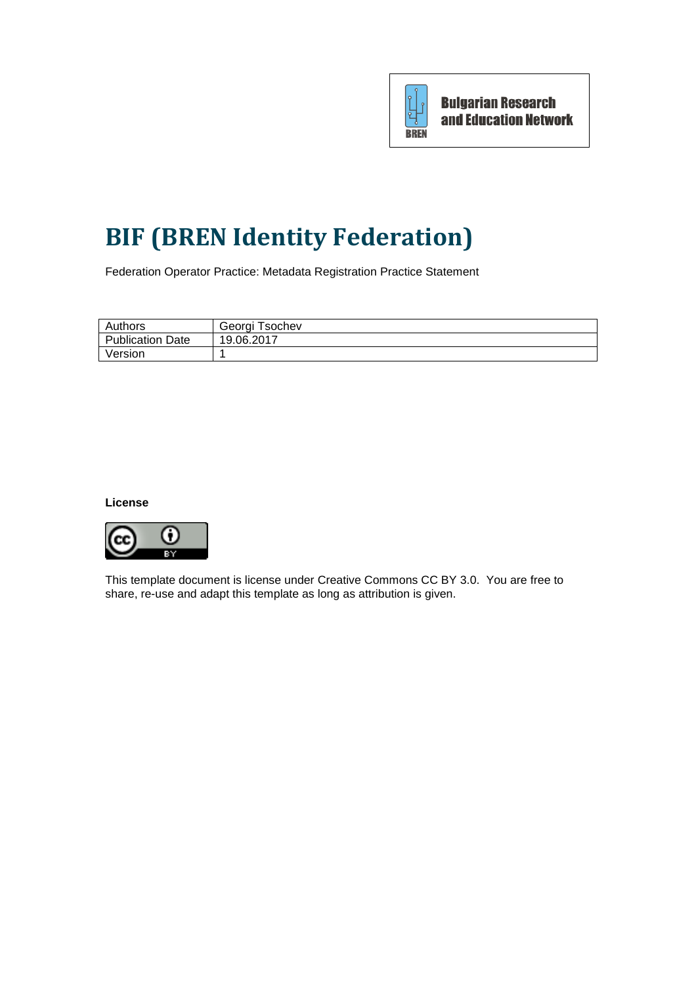

# **BIF (BREN Identity Federation)**

Federation Operator Practice: Metadata Registration Practice Statement

| Authors          | Georgi Tsochev |
|------------------|----------------|
| Publication Date | 19.06.2017     |
| Version          |                |

#### **License**



This template document is license under Creative Commons CC BY 3.0. You are free to share, re-use and adapt this template as long as attribution is given.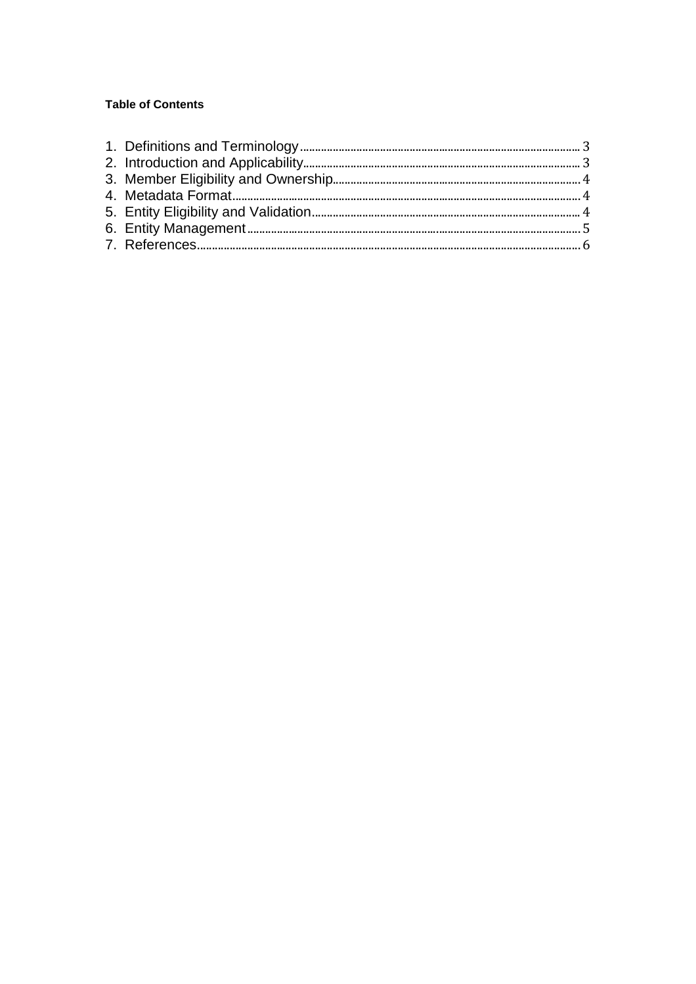## **Table of Contents**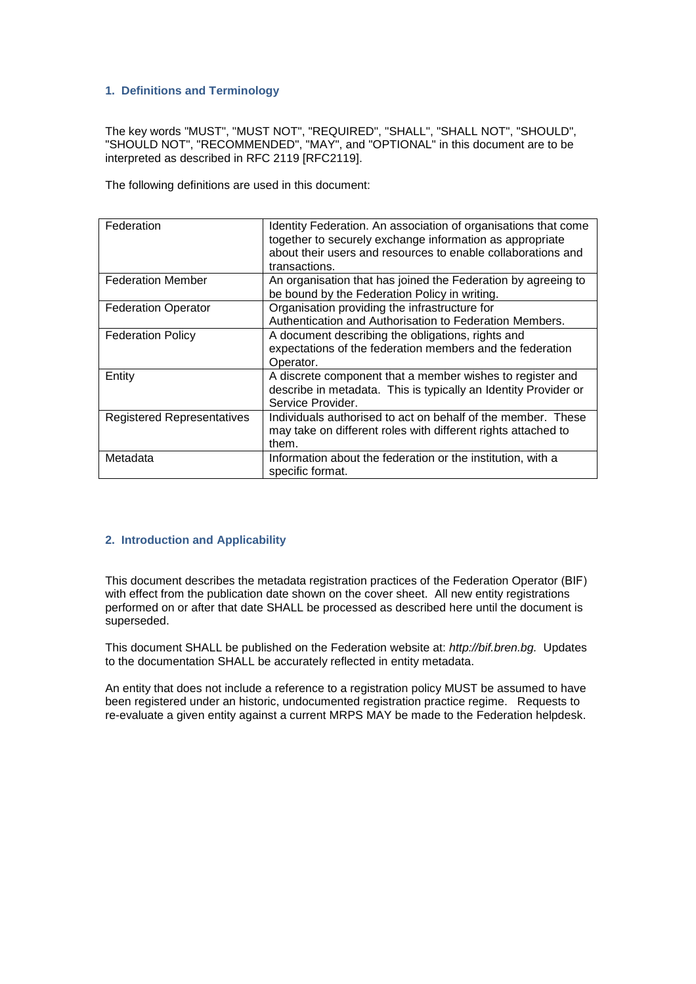## **1. Definitions and Terminology**

The key words "MUST", "MUST NOT", "REQUIRED", "SHALL", "SHALL NOT", "SHOULD", "SHOULD NOT", "RECOMMENDED", "MAY", and "OPTIONAL" in this document are to be interpreted as described in RFC 2119 [RFC2119].

The following definitions are used in this document:

| Federation                        | Identity Federation. An association of organisations that come<br>together to securely exchange information as appropriate<br>about their users and resources to enable collaborations and<br>transactions. |
|-----------------------------------|-------------------------------------------------------------------------------------------------------------------------------------------------------------------------------------------------------------|
| <b>Federation Member</b>          | An organisation that has joined the Federation by agreeing to<br>be bound by the Federation Policy in writing.                                                                                              |
| <b>Federation Operator</b>        | Organisation providing the infrastructure for<br>Authentication and Authorisation to Federation Members.                                                                                                    |
| <b>Federation Policy</b>          | A document describing the obligations, rights and<br>expectations of the federation members and the federation<br>Operator.                                                                                 |
| Entity                            | A discrete component that a member wishes to register and<br>describe in metadata. This is typically an Identity Provider or<br>Service Provider.                                                           |
| <b>Registered Representatives</b> | Individuals authorised to act on behalf of the member. These<br>may take on different roles with different rights attached to<br>them.                                                                      |
| Metadata                          | Information about the federation or the institution, with a<br>specific format.                                                                                                                             |

#### **2. Introduction and Applicability**

This document describes the metadata registration practices of the Federation Operator (BIF) with effect from the publication date shown on the cover sheet. All new entity registrations performed on or after that date SHALL be processed as described here until the document is superseded.

This document SHALL be published on the Federation website at: *http://bif.bren.bg.* Updates to the documentation SHALL be accurately reflected in entity metadata.

An entity that does not include a reference to a registration policy MUST be assumed to have been registered under an historic, undocumented registration practice regime. Requests to re-evaluate a given entity against a current MRPS MAY be made to the Federation helpdesk.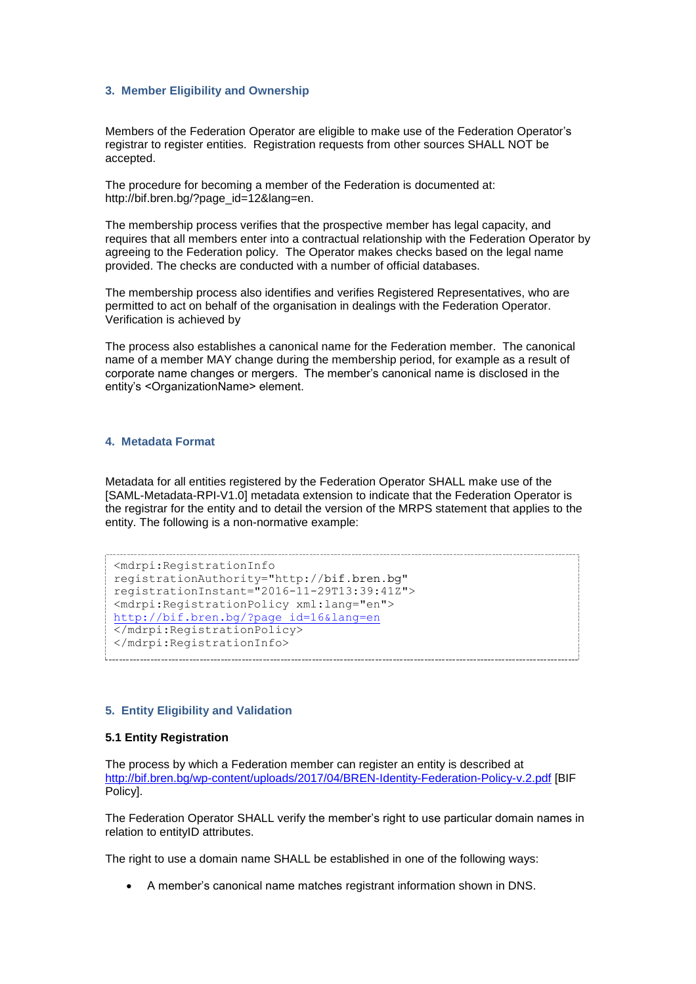#### **3. Member Eligibility and Ownership**

Members of the Federation Operator are eligible to make use of the Federation Operator's registrar to register entities. Registration requests from other sources SHALL NOT be accepted.

The procedure for becoming a member of the Federation is documented at: http://bif.bren.bg/?page\_id=12&lang=en.

The membership process verifies that the prospective member has legal capacity, and requires that all members enter into a contractual relationship with the Federation Operator by agreeing to the Federation policy. The Operator makes checks based on the legal name provided. The checks are conducted with a number of official databases.

The membership process also identifies and verifies Registered Representatives, who are permitted to act on behalf of the organisation in dealings with the Federation Operator. Verification is achieved by

The process also establishes a canonical name for the Federation member. The canonical name of a member MAY change during the membership period, for example as a result of corporate name changes or mergers. The member's canonical name is disclosed in the entity's <OrganizationName> element.

#### **4. Metadata Format**

Metadata for all entities registered by the Federation Operator SHALL make use of the [SAML-Metadata-RPI-V1.0] metadata extension to indicate that the Federation Operator is the registrar for the entity and to detail the version of the MRPS statement that applies to the entity. The following is a non-normative example:

```
<mdrpi:RegistrationInfo
registrationAuthority="http://bif.bren.bg"
registrationInstant="2016-11-29T13:39:41Z">
<mdrpi:RegistrationPolicy xml:lang="en"> 
http://bif.bren.bg/?page_id=16&lang=en
</mdrpi:RegistrationPolicy>
</mdrpi:RegistrationInfo>
```
#### **5. Entity Eligibility and Validation**

#### **5.1 Entity Registration**

The process by which a Federation member can register an entity is described at <http://bif.bren.bg/wp-content/uploads/2017/04/BREN-Identity-Federation-Policy-v.2.pdf> [BIF Policy].

The Federation Operator SHALL verify the member's right to use particular domain names in relation to entityID attributes.

The right to use a domain name SHALL be established in one of the following ways:

A member's canonical name matches registrant information shown in DNS.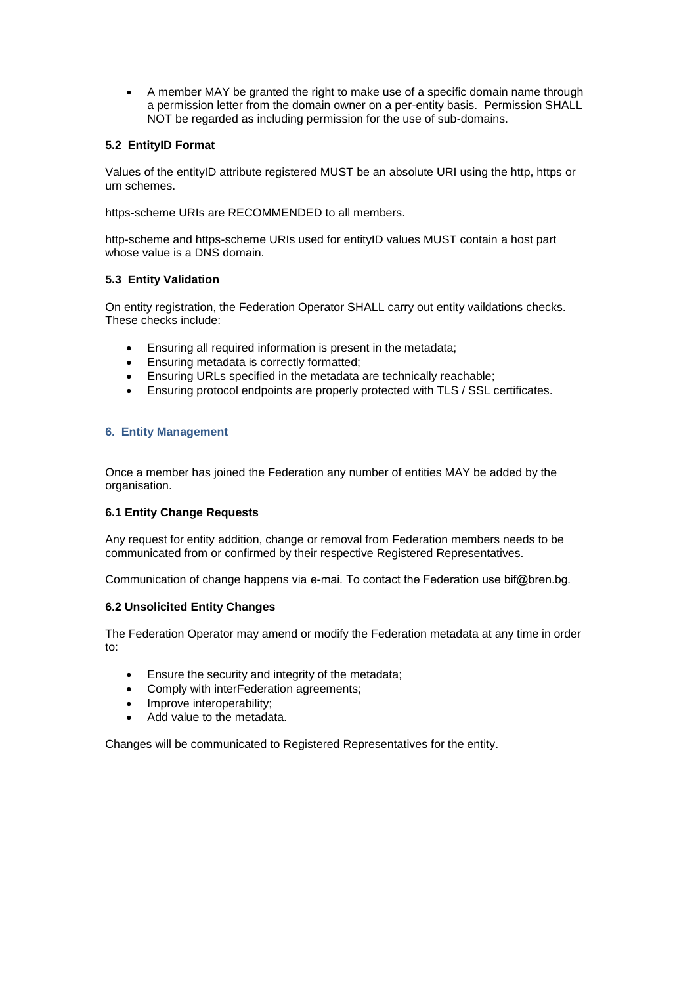A member MAY be granted the right to make use of a specific domain name through a permission letter from the domain owner on a per-entity basis. Permission SHALL NOT be regarded as including permission for the use of sub-domains.

## **5.2 EntityID Format**

Values of the entityID attribute registered MUST be an absolute URI using the http, https or urn schemes.

https-scheme URIs are RECOMMENDED to all members.

http-scheme and https-scheme URIs used for entityID values MUST contain a host part whose value is a DNS domain.

## **5.3 Entity Validation**

On entity registration, the Federation Operator SHALL carry out entity vaildations checks. These checks include:

- Ensuring all required information is present in the metadata;
- Ensuring metadata is correctly formatted;
- Ensuring URLs specified in the metadata are technically reachable;
- Ensuring protocol endpoints are properly protected with TLS / SSL certificates.

## **6. Entity Management**

Once a member has joined the Federation any number of entities MAY be added by the organisation.

## **6.1 Entity Change Requests**

Any request for entity addition, change or removal from Federation members needs to be communicated from or confirmed by their respective Registered Representatives.

Communication of change happens via e-mai*.* To contact the Federation use bif@bren.bg*.*

## **6.2 Unsolicited Entity Changes**

The Federation Operator may amend or modify the Federation metadata at any time in order to:

- Ensure the security and integrity of the metadata;
- Comply with interFederation agreements;
- Improve interoperability;
- Add value to the metadata.

Changes will be communicated to Registered Representatives for the entity.